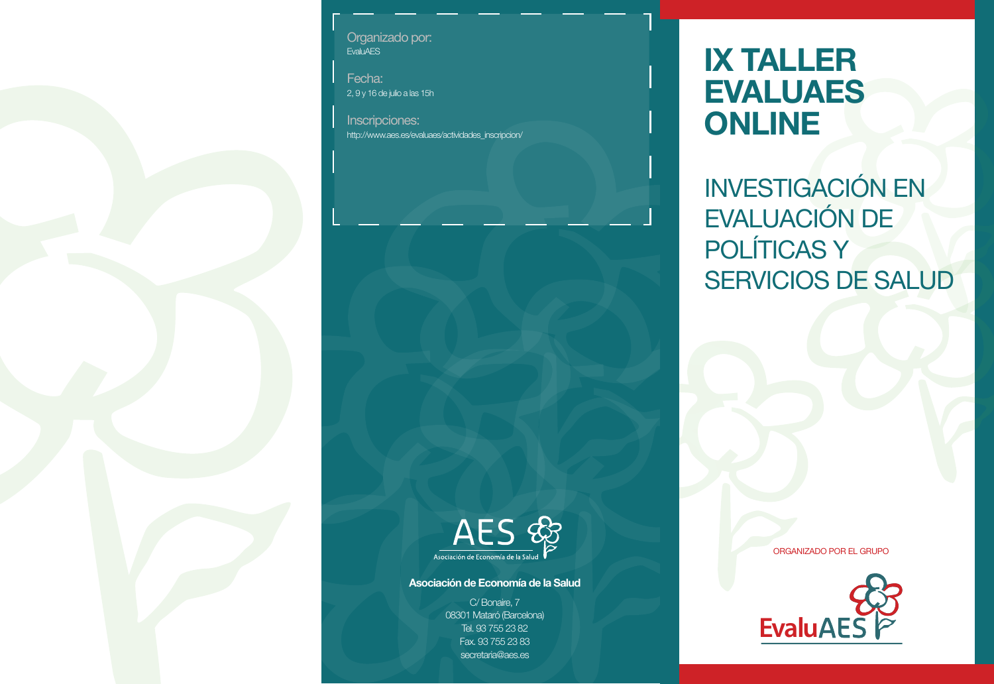Organizado por: **EvaluAES** 

Fecha: 2, 9 y 16 de julio a las 15h

Inscripciones: http://www.aes.es/evaluaes/actividades\_inscripcion/

## **IX TALLER EVALUAES ONLINE**

INVESTIGACIÓN EN EVALUACIÓN DE POLÍTICAS Y SERVICIOS DE SALUD



## **Asociación de Economía de la Salud**

C/ Bonaire, 7 08301 Mataró (Barcelona) Tel. 93 755 23 82 Fax. 93 755 23 83 secretaria@aes.es

ORGANIZADO POR EL GRUPO